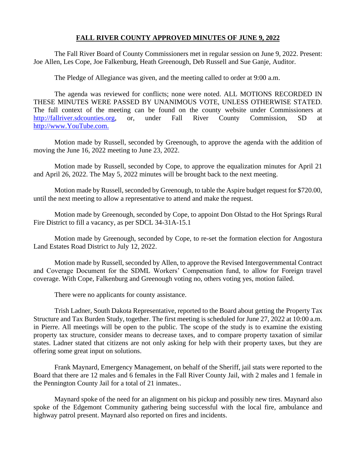## **FALL RIVER COUNTY APPROVED MINUTES OF JUNE 9, 2022**

The Fall River Board of County Commissioners met in regular session on June 9, 2022. Present: Joe Allen, Les Cope, Joe Falkenburg, Heath Greenough, Deb Russell and Sue Ganje, Auditor.

The Pledge of Allegiance was given, and the meeting called to order at 9:00 a.m.

The agenda was reviewed for conflicts; none were noted. ALL MOTIONS RECORDED IN THESE MINUTES WERE PASSED BY UNANIMOUS VOTE, UNLESS OTHERWISE STATED. The full context of the meeting can be found on the county website under Commissioners at [http://fallriver.sdcounties.org,](http://fallriver.sdcounties.org/) or, under Fall River County Commission, SD at [http://www.YouTube.com.](http://www.youtube.com/)

Motion made by Russell, seconded by Greenough, to approve the agenda with the addition of moving the June 16, 2022 meeting to June 23, 2022.

Motion made by Russell, seconded by Cope, to approve the equalization minutes for April 21 and April 26, 2022. The May 5, 2022 minutes will be brought back to the next meeting.

Motion made by Russell, seconded by Greenough, to table the Aspire budget request for \$720.00, until the next meeting to allow a representative to attend and make the request.

Motion made by Greenough, seconded by Cope, to appoint Don Olstad to the Hot Springs Rural Fire District to fill a vacancy, as per SDCL 34-31A-15.1

Motion made by Greenough, seconded by Cope, to re-set the formation election for Angostura Land Estates Road District to July 12, 2022.

Motion made by Russell, seconded by Allen, to approve the Revised Intergovernmental Contract and Coverage Document for the SDML Workers' Compensation fund, to allow for Foreign travel coverage. With Cope, Falkenburg and Greenough voting no, others voting yes, motion failed.

There were no applicants for county assistance.

Trish Ladner, South Dakota Representative, reported to the Board about getting the Property Tax Structure and Tax Burden Study, together. The first meeting is scheduled for June 27, 2022 at 10:00 a.m. in Pierre. All meetings will be open to the public. The scope of the study is to examine the existing property tax structure, consider means to decrease taxes, and to compare property taxation of similar states. Ladner stated that citizens are not only asking for help with their property taxes, but they are offering some great input on solutions.

Frank Maynard, Emergency Management, on behalf of the Sheriff, jail stats were reported to the Board that there are 12 males and 6 females in the Fall River County Jail, with 2 males and 1 female in the Pennington County Jail for a total of 21 inmates..

Maynard spoke of the need for an alignment on his pickup and possibly new tires. Maynard also spoke of the Edgemont Community gathering being successful with the local fire, ambulance and highway patrol present. Maynard also reported on fires and incidents.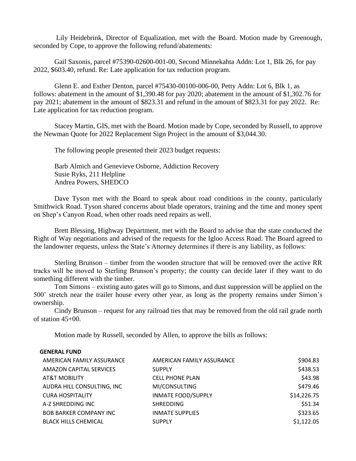Lily Heidebrink, Director of Equalization, met with the Board. Motion made by Greenough, seconded by Cope, to approve the following refund/abatements:

Gail Saxonis, parcel #75390-02600-001-00, Second Minnekahta Addn: Lot 1, Blk 26, for pay 2022, \$603.40, refund. Re: Late application for tax reduction program.

Glenn E. and Esther Denton, parcel #75430-00100-006-00, Petty Addn: Lot 6, Blk 1, as follows: abatement in the amount of \$1,390.48 for pay 2020; abatement in the amount of \$1,302.76 for pay 2021; abatement in the amount of \$823.31 and refund in the amount of \$823.31 for pay 2022. Re: Late application for tax reduction program.

Stacey Martin, GIS, met with the Board. Motion made by Cope, seconded by Russell, to approve the Newman Quote for 2022 Replacement Sign Project in the amount of \$3,044.30.

The following people presented their 2023 budget requests:

Barb Almich and Genevieve Osborne, Addiction Recovery Susie Ryks, 211 Helpline Andrea Powers, SHEDCO

Dave Tyson met with the Board to speak about road conditions in the county, particularly Smithwick Road. Tyson shared concerns about blade operators, training and the time and money spent on Shep's Canyon Road, when other roads need repairs as well.

Brett Blessing, Highway Department, met with the Board to advise that the state conducted the Right of Way negotiations and advised of the requests for the Igloo Access Road. The Board agreed to the landowner requests, unless the State's Attorney determines if there is any liability, as follows:

Sterling Brunson – timber from the wooden structure that will be removed over the active RR tracks will be moved to Sterling Brunson's property; the county can decide later if they want to do something different with the timber.

Tom Simons – existing auto gates will go to Simons, and dust suppression will be applied on the 500' stretch near the trailer house every other year, as long as the property remains under Simon's ownership.

Cindy Brunson – request for any railroad ties that may be removed from the old rail grade north of station 45+00.

Motion made by Russell, seconded by Allen, to approve the bills as follows:

## **GENERAL FUND**

| AMERICAN FAMILY ASSURANCE      | AMERICAN FAMILY ASSURANCE | \$904.83    |
|--------------------------------|---------------------------|-------------|
| <b>AMAZON CAPITAL SERVICES</b> | <b>SUPPLY</b>             | \$438.53    |
| <b>AT&amp;T MOBILITY</b>       | <b>CELL PHONE PLAN</b>    | \$43.98     |
| AUDRA HILL CONSULTING, INC     | MI/CONSULTING             | \$479.46    |
| <b>CURA HOSPITALITY</b>        | <b>INMATE FOOD/SUPPLY</b> | \$14,226.75 |
| A-Z SHREDDING INC              | <b>SHREDDING</b>          | \$51.34     |
| <b>BOB BARKER COMPANY INC</b>  | <b>INMATE SUPPLIES</b>    | \$323.65    |
| <b>BLACK HILLS CHEMICAL</b>    | <b>SUPPLY</b>             | \$1,122.05  |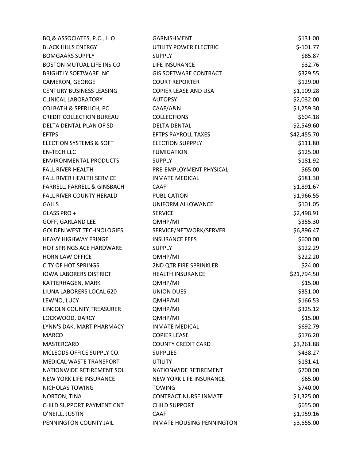| BQ & ASSOCIATES, P.C., LLO        | <b>GARNISHMENT</b>             | \$131.00    |
|-----------------------------------|--------------------------------|-------------|
| <b>BLACK HILLS ENERGY</b>         | UTILITY POWER ELECTRIC         | $$-101.77$  |
| <b>BOMGAARS SUPPLY</b>            | <b>SUPPLY</b>                  | \$85.87     |
| <b>BOSTON MUTUAL LIFE INS CO</b>  | LIFE INSURANCE                 | \$32.76     |
| <b>BRIGHTLY SOFTWARE INC.</b>     | <b>GIS SOFTWARE CONTRACT</b>   | \$329.55    |
| CAMERON, GEORGE                   | <b>COURT REPORTER</b>          | \$129.00    |
| <b>CENTURY BUSINESS LEASING</b>   | <b>COPIER LEASE AND USA</b>    | \$1,109.28  |
| <b>CLINICAL LABORATORY</b>        | <b>AUTOPSY</b>                 | \$2,032.00  |
| <b>COLBATH &amp; SPERLICH, PC</b> | CAAF/A&N                       | \$1,259.30  |
| <b>CREDIT COLLECTION BUREAU</b>   | <b>COLLECTIONS</b>             | \$604.18    |
| DELTA DENTAL PLAN OF SD           | <b>DELTA DENTAL</b>            | \$2,549.60  |
| <b>EFTPS</b>                      | <b>EFTPS PAYROLL TAXES</b>     | \$42,455.70 |
| ELECTION SYSTEMS & SOFT           | <b>ELECTION SUPPPLY</b>        | \$111.80    |
| <b>EN-TECH LLC</b>                | <b>FUMIGATION</b>              | \$125.00    |
| <b>ENVIRONMENTAL PRODUCTS</b>     | <b>SUPPLY</b>                  | \$181.92    |
| <b>FALL RIVER HEALTH</b>          | PRE-EMPLOYMENT PHYSICAL        | \$65.00     |
| FALL RIVER HEALTH SERVICE         | <b>INMATE MEDICAL</b>          | \$181.30    |
| FARRELL, FARRELL & GINSBACH       | CAAF                           | \$1,891.67  |
| <b>FALL RIVER COUNTY HERALD</b>   | <b>PUBLICATION</b>             | \$1,966.55  |
| <b>GALLS</b>                      | UNIFORM ALLOWANCE              | \$101.05    |
| GLASS PRO +                       | <b>SERVICE</b>                 | \$2,498.91  |
| GOFF, GARLAND LEE                 | QMHP/MI                        | \$355.30    |
| <b>GOLDEN WEST TECHNOLOGIES</b>   | SERVICE/NETWORK/SERVER         | \$6,896.47  |
| <b>HEAVY HIGHWAY FRINGE</b>       | <b>INSURANCE FEES</b>          | \$600.00    |
| <b>HOT SPRINGS ACE HARDWARE</b>   | <b>SUPPLY</b>                  | \$122.29    |
| <b>HORN LAW OFFICE</b>            | QMHP/MI                        | \$222.20    |
| <b>CITY OF HOT SPRINGS</b>        | 2ND QTR FIRE SPRINKLER         | \$24.00     |
| <b>IOWA LABORERS DISTRICT</b>     | <b>HEALTH INSURANCE</b>        | \$21,794.50 |
| KATTERHAGEN, MARK                 | QMHP/MI                        | \$15.00     |
| LIUNA LABORERS LOCAL 620          | <b>UNION DUES</b>              | \$351.00    |
| LEWNO, LUCY                       | QMHP/MI                        | \$166.53    |
| LINCOLN COUNTY TREASURER          | QMHP/MI                        | \$325.12    |
| LOCKWOOD, DARCY                   | QMHP/MI                        | \$15.00     |
| LYNN'S DAK. MART PHARMACY         | <b>INMATE MEDICAL</b>          | \$692.79    |
| <b>MARCO</b>                      | <b>COPIER LEASE</b>            | \$176.20    |
| MASTERCARD                        | <b>COUNTY CREDIT CARD</b>      | \$3,261.88  |
| MCLEODS OFFICE SUPPLY CO.         | <b>SUPPLIES</b>                | \$438.27    |
| <b>MEDICAL WASTE TRANSPORT</b>    | <b>UTILITY</b>                 | \$181.41    |
| NATIONWIDE RETIREMENT SOL         | NATIONWIDE RETIREMENT          | \$700.00    |
| NEW YORK LIFE INSURANCE           | <b>NEW YORK LIFE INSURANCE</b> | \$65.00     |
| NICHOLAS TOWING                   | <b>TOWING</b>                  | \$740.00    |
| NORTON, TINA                      | <b>CONTRACT NURSE INMATE</b>   | \$1,325.00  |
| CHILD SUPPORT PAYMENT CNT         | <b>CHILD SUPPORT</b>           | \$655.00    |
| O'NEILL, JUSTIN                   | <b>CAAF</b>                    | \$1,959.16  |
| PENNINGTON COUNTY JAIL            | INMATE HOUSING PENNINGTON      | \$3,655.00  |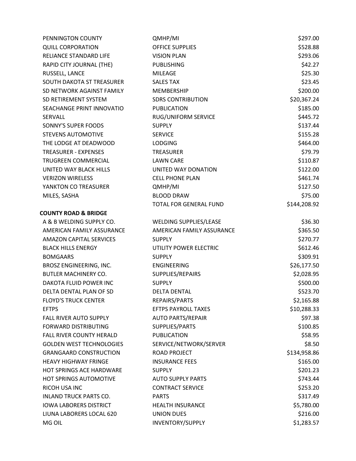| PENNINGTON COUNTY               | QMHP/MI                       | \$297.00     |
|---------------------------------|-------------------------------|--------------|
| <b>QUILL CORPORATION</b>        | <b>OFFICE SUPPLIES</b>        | \$528.88     |
| RELIANCE STANDARD LIFE          | <b>VISION PLAN</b>            | \$293.06     |
| RAPID CITY JOURNAL (THE)        | <b>PUBLISHING</b>             | \$42.27      |
| RUSSELL, LANCE                  | <b>MILEAGE</b>                | \$25.30      |
| SOUTH DAKOTA ST TREASURER       | <b>SALES TAX</b>              | \$23.45      |
| SD NETWORK AGAINST FAMILY       | MEMBERSHIP                    | \$200.00     |
| SD RETIREMENT SYSTEM            | <b>SDRS CONTRIBUTION</b>      | \$20,367.24  |
| SEACHANGE PRINT INNOVATIO       | <b>PUBLICATION</b>            | \$185.00     |
| <b>SERVALL</b>                  | RUG/UNIFORM SERVICE           | \$445.72     |
| SONNY'S SUPER FOODS             | <b>SUPPLY</b>                 | \$137.44     |
| <b>STEVENS AUTOMOTIVE</b>       | <b>SERVICE</b>                | \$155.28     |
| THE LODGE AT DEADWOOD           | <b>LODGING</b>                | \$464.00     |
| <b>TREASURER - EXPENSES</b>     | <b>TREASURER</b>              | \$79.79      |
| TRUGREEN COMMERCIAL             | <b>LAWN CARE</b>              | \$110.87     |
| UNITED WAY BLACK HILLS          | UNITED WAY DONATION           | \$122.00     |
| <b>VERIZON WIRELESS</b>         | <b>CELL PHONE PLAN</b>        | \$461.74     |
| YANKTON CO TREASURER            | QMHP/MI                       | \$127.50     |
| MILES, SASHA                    | <b>BLOOD DRAW</b>             | \$75.00      |
|                                 | <b>TOTAL FOR GENERAL FUND</b> | \$144,208.92 |
| <b>COUNTY ROAD &amp; BRIDGE</b> |                               |              |
| A & B WELDING SUPPLY CO.        | WELDING SUPPLIES/LEASE        | \$36.30      |
| AMERICAN FAMILY ASSURANCE       | AMERICAN FAMILY ASSURANCE     | \$365.50     |
| <b>AMAZON CAPITAL SERVICES</b>  | <b>SUPPLY</b>                 | \$270.77     |
| <b>BLACK HILLS ENERGY</b>       | UTILITY POWER ELECTRIC        | \$612.46     |
| <b>BOMGAARS</b>                 | <b>SUPPLY</b>                 | \$309.91     |
| BROSZ ENGINEERING, INC.         | <b>ENGINEERING</b>            | \$26,177.50  |
| <b>BUTLER MACHINERY CO.</b>     | SUPPLIES/REPAIRS              | \$2,028.95   |
| DAKOTA FLUID POWER INC          | <b>SUPPLY</b>                 | \$500.00     |
| DELTA DENTAL PLAN OF SD         | <b>DELTA DENTAL</b>           | \$523.70     |
| <b>FLOYD'S TRUCK CENTER</b>     | REPAIRS/PARTS                 | \$2,165.88   |
| <b>EFTPS</b>                    | <b>EFTPS PAYROLL TAXES</b>    | \$10,288.33  |
| FALL RIVER AUTO SUPPLY          | <b>AUTO PARTS/REPAIR</b>      | \$97.38      |
| <b>FORWARD DISTRIBUTING</b>     | SUPPLIES/PARTS                | \$100.85     |
| FALL RIVER COUNTY HERALD        | <b>PUBLICATION</b>            | \$58.95      |
| <b>GOLDEN WEST TECHNOLOGIES</b> | SERVICE/NETWORK/SERVER        | \$8.50       |
| <b>GRANGAARD CONSTRUCTION</b>   | <b>ROAD PROJECT</b>           | \$134,958.86 |
| <b>HEAVY HIGHWAY FRINGE</b>     | <b>INSURANCE FEES</b>         | \$165.00     |
| <b>HOT SPRINGS ACE HARDWARE</b> | <b>SUPPLY</b>                 | \$201.23     |
| HOT SPRINGS AUTOMOTIVE          | <b>AUTO SUPPLY PARTS</b>      | \$743.44     |
| RICOH USA INC                   | <b>CONTRACT SERVICE</b>       | \$253.20     |
| <b>INLAND TRUCK PARTS CO.</b>   | <b>PARTS</b>                  | \$317.49     |
| <b>IOWA LABORERS DISTRICT</b>   | <b>HEALTH INSURANCE</b>       | \$5,780.00   |
| LIUNA LABORERS LOCAL 620        | <b>UNION DUES</b>             | \$216.00     |
| MG OIL                          | INVENTORY/SUPPLY              | \$1,283.57   |
|                                 |                               |              |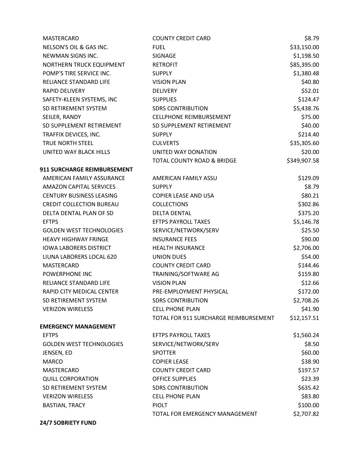| MASTERCARD                      | <b>COUNTY CREDIT CARD</b>             | \$8.79       |
|---------------------------------|---------------------------------------|--------------|
| NELSON'S OIL & GAS INC.         | <b>FUEL</b>                           | \$33,150.00  |
| NEWMAN SIGNS INC.               | SIGNAGE                               | \$1,198.50   |
| NORTHERN TRUCK EQUIPMENT        | <b>RETROFIT</b>                       | \$85,395.00  |
| POMP'S TIRE SERVICE INC.        | <b>SUPPLY</b>                         | \$1,380.48   |
| RELIANCE STANDARD LIFE          | <b>VISION PLAN</b>                    | \$40.80      |
| <b>RAPID DELIVERY</b>           | <b>DELIVERY</b>                       | \$52.01      |
| SAFETY-KLEEN SYSTEMS, INC       | <b>SUPPLIES</b>                       | \$124.47     |
| SD RETIREMENT SYSTEM            | <b>SDRS CONTRIBUTION</b>              | \$5,438.76   |
| SEILER, RANDY                   | <b>CELLPHONE REIMBURSEMENT</b>        | \$75.00      |
| SD SUPPLEMENT RETIREMENT        | SD SUPPLEMENT RETIREMENT              | \$40.00      |
| TRAFFIX DEVICES, INC.           | <b>SUPPLY</b>                         | \$214.40     |
| TRUE NORTH STEEL                | <b>CULVERTS</b>                       | \$35,305.60  |
| UNITED WAY BLACK HILLS          | UNITED WAY DONATION                   | \$20.00      |
|                                 | TOTAL COUNTY ROAD & BRIDGE            | \$349,907.58 |
| 911 SURCHARGE REIMBURSEMENT     |                                       |              |
| AMERICAN FAMILY ASSURANCE       | AMERICAN FAMILY ASSU                  | \$129.09     |
| <b>AMAZON CAPITAL SERVICES</b>  | <b>SUPPLY</b>                         | \$8.79       |
| <b>CENTURY BUSINESS LEASING</b> | <b>COPIER LEASE AND USA</b>           | \$80.21      |
| <b>CREDIT COLLECTION BUREAU</b> | <b>COLLECTIONS</b>                    | \$302.86     |
| DELTA DENTAL PLAN OF SD         | <b>DELTA DENTAL</b>                   | \$375.20     |
| <b>EFTPS</b>                    | <b>EFTPS PAYROLL TAXES</b>            | \$5,146.78   |
| <b>GOLDEN WEST TECHNOLOGIES</b> | SERVICE/NETWORK/SERV                  | \$25.50      |
| <b>HEAVY HIGHWAY FRINGE</b>     | <b>INSURANCE FEES</b>                 | \$90.00      |
| <b>IOWA LABORERS DISTRICT</b>   | <b>HEALTH INSURANCE</b>               | \$2,706.00   |
| LIUNA LABORERS LOCAL 620        | <b>UNION DUES</b>                     | \$54.00      |
| <b>MASTERCARD</b>               | <b>COUNTY CREDIT CARD</b>             | \$144.46     |
| POWERPHONE INC                  | TRAINING/SOFTWARE AG                  | \$159.80     |
| RELIANCE STANDARD LIFE          | <b>VISION PLAN</b>                    | \$12.66      |
| RAPID CITY MEDICAL CENTER       | PRE-EMPLOYMENT PHYSICAL               | \$172.00     |
| SD RETIREMENT SYSTEM            | <b>SDRS CONTRIBUTION</b>              | \$2,708.26   |
| <b>VERIZON WIRELESS</b>         | <b>CELL PHONE PLAN</b>                | \$41.90      |
|                                 | TOTAL FOR 911 SURCHARGE REIMBURSEMENT | \$12,157.51  |
| <b>EMERGENCY MANAGEMENT</b>     |                                       |              |
| <b>EFTPS</b>                    | <b>EFTPS PAYROLL TAXES</b>            | \$1,560.24   |
| <b>GOLDEN WEST TECHNOLOGIES</b> | SERVICE/NETWORK/SERV                  | \$8.50       |
| JENSEN, ED                      | <b>SPOTTER</b>                        | \$60.00      |
| <b>MARCO</b>                    | <b>COPIER LEASE</b>                   | \$38.90      |
| MASTERCARD                      | <b>COUNTY CREDIT CARD</b>             | \$197.57     |
| <b>QUILL CORPORATION</b>        | <b>OFFICE SUPPLIES</b>                | \$23.39      |
| SD RETIREMENT SYSTEM            | <b>SDRS CONTRIBUTION</b>              | \$635.42     |
| <b>VERIZON WIRELESS</b>         | <b>CELL PHONE PLAN</b>                | \$83.80      |
| <b>BASTIAN, TRACY</b>           | <b>PIOLT</b>                          | \$100.00     |
|                                 | TOTAL FOR EMERGENCY MANAGEMENT        | \$2,707.82   |

**24/7 SOBRIETY FUND**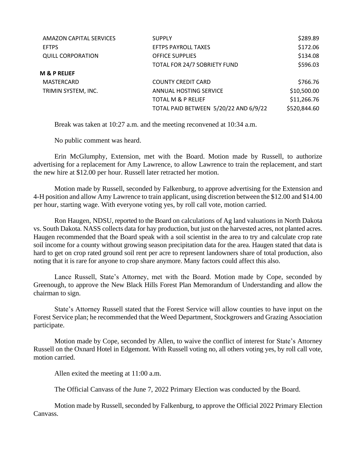| AMAZON CAPITAL SERVICES  | <b>SUPPLY</b>                         | \$289.89     |
|--------------------------|---------------------------------------|--------------|
| <b>EFTPS</b>             | <b>EFTPS PAYROLL TAXES</b>            | \$172.06     |
| <b>QUILL CORPORATION</b> | <b>OFFICE SUPPLIES</b>                | \$134.08     |
|                          | TOTAL FOR 24/7 SOBRIETY FUND          | \$596.03     |
| <b>M &amp; P RELIEF</b>  |                                       |              |
| MASTERCARD               | <b>COUNTY CREDIT CARD</b>             | \$766.76     |
| TRIMIN SYSTEM, INC.      | ANNUAL HOSTING SERVICE                | \$10,500.00  |
|                          | <b>TOTAL M &amp; P RELIEF</b>         | \$11,266.76  |
|                          | TOTAL PAID BETWEEN 5/20/22 AND 6/9/22 | \$520,844.60 |
|                          |                                       |              |

Break was taken at 10:27 a.m. and the meeting reconvened at 10:34 a.m.

No public comment was heard.

Erin McGlumphy, Extension, met with the Board. Motion made by Russell, to authorize advertising for a replacement for Amy Lawrence, to allow Lawrence to train the replacement, and start the new hire at \$12.00 per hour. Russell later retracted her motion.

Motion made by Russell, seconded by Falkenburg, to approve advertising for the Extension and 4-H position and allow Amy Lawrence to train applicant, using discretion between the \$12.00 and \$14.00 per hour, starting wage. With everyone voting yes, by roll call vote, motion carried.

Ron Haugen, NDSU, reported to the Board on calculations of Ag land valuations in North Dakota vs. South Dakota. NASS collects data for hay production, but just on the harvested acres, not planted acres. Haugen recommended that the Board speak with a soil scientist in the area to try and calculate crop rate soil income for a county without growing season precipitation data for the area. Haugen stated that data is hard to get on crop rated ground soil rent per acre to represent landowners share of total production, also noting that it is rare for anyone to crop share anymore. Many factors could affect this also.

Lance Russell, State's Attorney, met with the Board. Motion made by Cope, seconded by Greenough, to approve the New Black Hills Forest Plan Memorandum of Understanding and allow the chairman to sign.

State's Attorney Russell stated that the Forest Service will allow counties to have input on the Forest Service plan; he recommended that the Weed Department, Stockgrowers and Grazing Association participate.

Motion made by Cope, seconded by Allen, to waive the conflict of interest for State's Attorney Russell on the Oxnard Hotel in Edgemont. With Russell voting no, all others voting yes, by roll call vote, motion carried.

Allen exited the meeting at 11:00 a.m.

The Official Canvass of the June 7, 2022 Primary Election was conducted by the Board.

Motion made by Russell, seconded by Falkenburg, to approve the Official 2022 Primary Election Canvass.